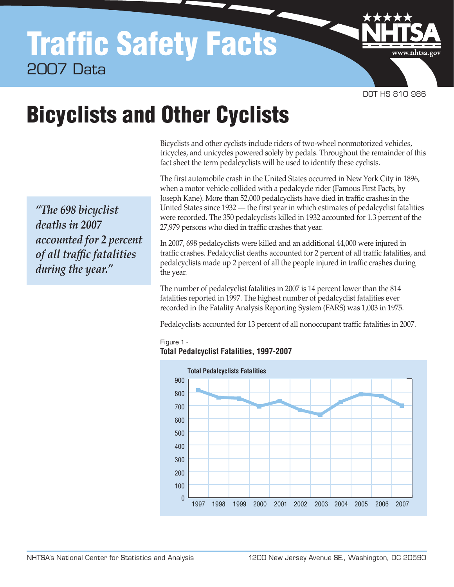# Traffic Safety Facts 2007 Data

DOT HS 810 986

www.nhtsa.go

# Bicyclists and Other Cyclists

 Bicyclists and other cyclists include riders of two-wheel nonmotorized vehicles, tricycles, and unicycles powered solely by pedals. Throughout the remainder of this fact sheet the term pedalcyclists will be used to identify these cyclists.

 The first automobile crash in the United States occurred in New York City in 1896, when a motor vehicle collided with a pedalcycle rider (Famous First Facts, by Joseph Kane). More than 52,000 pedalcyclists have died in traffic crashes in the United States since 1932 — the first year in which estimates of pedalcyclist fatalities were recorded. The 350 pedalcyclists killed in 1932 accounted for 1.3 percent of the 27,979 persons who died in traffic crashes that year.

 In 2007, 698 pedalcyclists were killed and an additional 44,000 were injured in traffic crashes. Pedalcyclist deaths accounted for 2 percent of all traffic fatalities, and pedalcyclists made up 2 percent of all the people injured in traffic crashes during the year.

 The number of pedalcyclist fatalities in 2007 is 14 percent lower than the 814 fatalities reported in 1997. The highest number of pedalcyclist fatalities ever recorded in the Fatality Analysis Reporting System (FARS) was 1,003 in 1975.

Pedalcyclists accounted for 13 percent of all nonoccupant traffic fatalities in 2007.



#### Figure 1 **Total Pedalcyclist Fatalities, 1997-2007**

 *"The 698 bicyclist deaths in 2007 accounted for 2 percent of all traffic fatalities during the year."*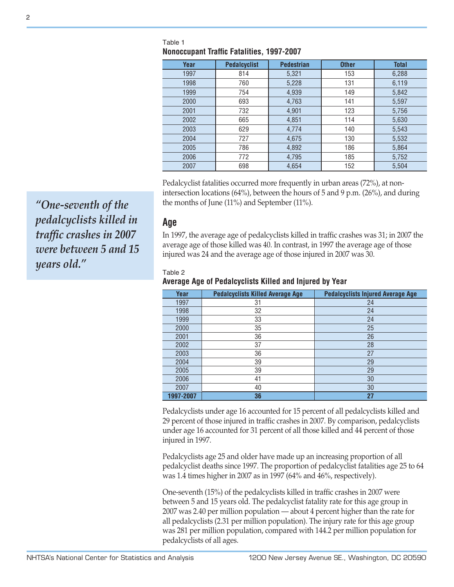| Year | <b>Pedalcyclist</b> | <b>Pedestrian</b> | <b>Other</b> | <b>Total</b> |  |
|------|---------------------|-------------------|--------------|--------------|--|
| 1997 | 814                 | 5,321             | 153          | 6,288        |  |
|      |                     |                   |              |              |  |
| 1998 | 760                 | 5,228             | 131          | 6,119        |  |
| 1999 | 754                 | 4,939             | 149          | 5,842        |  |
| 2000 | 693                 | 4,763             | 141          | 5,597        |  |
| 2001 | 732                 | 4,901             | 123          | 5,756        |  |
| 2002 | 665                 | 4,851             | 114          | 5,630        |  |
| 2003 | 629                 | 4,774             | 140          | 5,543        |  |
| 2004 | 727                 | 4,675             | 130          | 5,532        |  |
| 2005 | 786                 | 4,892             | 186          | 5,864        |  |
| 2006 | 772                 | 4,795             | 185          | 5,752        |  |
| 2007 | 698                 | 4,654             | 152          | 5,504        |  |

#### Table 1 **Nonoccupant Traffic Fatalities, 1997-2007**

 Pedalcyclist fatalities occurred more frequently in urban areas (72%), at non- intersection locations (64%), between the hours of 5 and 9 p.m. (26%), and during the months of June (11%) and September (11%).

**Age** 

 In 1997, the average age of pedalcyclists killed in traffic crashes was 31; in 2007 the average age of those killed was 40. In contrast, in 1997 the average age of those injured was 24 and the average age of those injured in 2007 was 30.

#### Table 2

#### **Average Age of Pedalcyclists Killed and Injured by Year**

| Year      | <b>Pedalcyclists Killed Average Age</b> | <b>Pedalcyclists Injured Average Age</b> |
|-----------|-----------------------------------------|------------------------------------------|
| 1997      | 31                                      | 24                                       |
| 1998      | 32                                      | 24                                       |
| 1999      | 33                                      | 24                                       |
| 2000      | 35                                      | 25                                       |
| 2001      | 36                                      | 26                                       |
| 2002      | 37                                      | 28                                       |
| 2003      | 36                                      | 27                                       |
| 2004      | 39                                      | 29                                       |
| 2005      | 39                                      | 29                                       |
| 2006      | 41                                      | 30                                       |
| 2007      | 40                                      | 30                                       |
| 1997-2007 | 36                                      | 27                                       |

 Pedalcyclists under age 16 accounted for 15 percent of all pedalcyclists killed and 29 percent of those injured in traffic crashes in 2007. By comparison, pedalcyclists under age 16 accounted for 31 percent of all those killed and 44 percent of those injured in 1997.

 Pedalcyclists age 25 and older have made up an increasing proportion of all pedalcyclist deaths since 1997. The proportion of pedalcyclist fatalities age 25 to 64 was 1.4 times higher in 2007 as in 1997 (64% and 46%, respectively).

 One-seventh (15%) of the pedalcyclists killed in traffic crashes in 2007 were between 5 and 15 years old. The pedalcyclist fatality rate for this age group in 2007 was 2.40 per million population — about 4 percent higher than the rate for all pedalcyclists (2.31 per million population). The injury rate for this age group was 281 per million population, compared with 144.2 per million population for pedalcyclists of all ages.

 *"One-seventh of the pedalcyclists killed in traffic crashes in 2007 were between 5 and 15 years old."*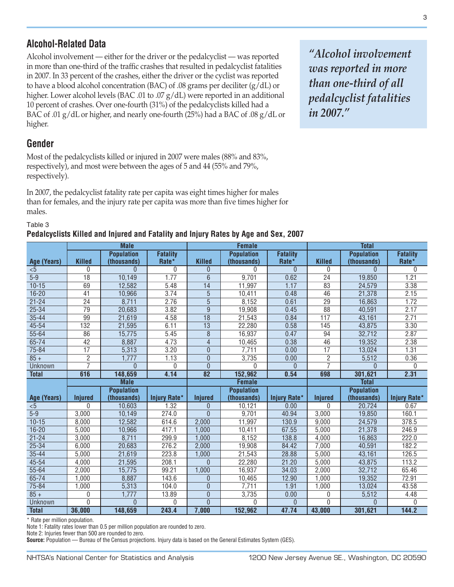## **Alcohol-Related Data**

 Alcohol involvement — either for the driver or the pedalcyclist — was reported in more than one-third of the traffic crashes that resulted in pedalcyclist fatalities in 2007. In 33 percent of the crashes, either the driver or the cyclist was reported to have a blood alcohol concentration (BAC) of .08 grams per deciliter (g/dL) or higher. Lower alcohol levels (BAC .01 to .07 g/dL) were reported in an additional 10 percent of crashes. Over one-fourth (31%) of the pedalcyclists killed had a BAC of .01 g/dL or higher, and nearly one-fourth (25%) had a BAC of .08 g/dL or higher.

## **Gender**

 Most of the pedalcyclists killed or injured in 2007 were males (88% and 83%, respectively), and most were between the ages of 5 and 44 (55% and 79%, respectively).

 In 2007, the pedalcyclist fatality rate per capita was eight times higher for males than for females, and the injury rate per capita was more than five times higher for males.

### Table 3 **Pedalcyclists Killed and Injured and Fatality and Injury Rates by Age and Sex, 2007**

 *was reported in more than one-third of all "Alcohol involvement pedalcyclist fatalities in 2007."* 

| i Guaitytiists Killou allu liijurou allu Fatality allu liijury Hatos by Ayo allu OGA, ZUU <i>r</i> |                 |                                  |                          |                 |                                  |                          |                 |                                  |                          |
|----------------------------------------------------------------------------------------------------|-----------------|----------------------------------|--------------------------|-----------------|----------------------------------|--------------------------|-----------------|----------------------------------|--------------------------|
|                                                                                                    | <b>Male</b>     |                                  | <b>Female</b>            |                 |                                  | <b>Total</b>             |                 |                                  |                          |
| Age (Years)                                                                                        | <b>Killed</b>   | <b>Population</b><br>(thousands) | <b>Fatality</b><br>Rate* | <b>Killed</b>   | <b>Population</b><br>(thousands) | <b>Fatality</b><br>Rate* | <b>Killed</b>   | <b>Population</b><br>(thousands) | <b>Fatality</b><br>Rate* |
| < 5                                                                                                | $\mathbf{0}$    | $\Omega$                         | $\mathbf{0}$             | $\overline{0}$  | $\Omega$                         | $\theta$                 | 0               | $\Omega$                         | 0                        |
| $5-9$                                                                                              | $\overline{18}$ | 10,149                           | 1.77                     | $6\phantom{1}$  | 9,701                            | 0.62                     | $\overline{24}$ | 19,850                           | 1.21                     |
| $10 - 15$                                                                                          | 69              | 12,582                           | 5.48                     | 14              | 11,997                           | 1.17                     | 83              | 24,579                           | 3.38                     |
| $16 - 20$                                                                                          | 41              | 10,966                           | 3.74                     | $\overline{5}$  | 10,411                           | 0.48                     | 46              | 21,378                           | 2.15                     |
| $21 - 24$                                                                                          | $\overline{24}$ | 8,711                            | 2.76                     | $\overline{5}$  | 8,152                            | 0.61                     | $\overline{29}$ | 16,863                           | 1.72                     |
| $25 - 34$                                                                                          | $\overline{79}$ | 20,683                           | 3.82                     | 9               | 19,908                           | 0.45                     | $\overline{88}$ | 40,591                           | 2.17                     |
| $35 - 44$                                                                                          | 99              | 21,619                           | 4.58                     | $\overline{18}$ | 21,543                           | 0.84                     | 117             | 43,161                           | 2.71                     |
| $45 - 54$                                                                                          | 132             | 21,595                           | 6.11                     | $\overline{13}$ | 22,280                           | 0.58                     | 145             | 43,875                           | 3.30                     |
| $55 - 64$                                                                                          | 86              | 15,775                           | 5.45                     | $\overline{8}$  | 16,937                           | 0.47                     | 94              | 32,712                           | 2.87                     |
| $65 - 74$                                                                                          | $\overline{42}$ | 8,887                            | 4.73                     | $\overline{4}$  | 10,465                           | 0.38                     | $\overline{46}$ | 19,352                           | 2.38                     |
| $75 - 84$                                                                                          | $\overline{17}$ | 5,313                            | 3.20                     | $\mathbf 0$     | 7,711                            | 0.00                     | 17              | 13,024                           | 1.31                     |
| $85 +$                                                                                             | 2               | 1,777                            | 1.13                     | $\overline{0}$  | 3,735                            | 0.00                     | $\overline{2}$  | 5,512                            | 0.36                     |
| Unknown                                                                                            | 7               | $\Omega$                         | $\Omega$                 | $\Omega$        | $\Omega$                         | U                        | $\overline{7}$  | $\Omega$                         | U                        |
| <b>Total</b>                                                                                       | 616             | 148,659                          | 4.14                     | $\overline{82}$ | 152,962                          | 0.54                     | 698             | 301,621                          | 2.31                     |
|                                                                                                    |                 | <b>Male</b>                      |                          | <b>Female</b>   |                                  |                          | <b>Total</b>    |                                  |                          |
|                                                                                                    |                 | <b>Population</b>                |                          |                 | <b>Population</b>                |                          |                 | <b>Population</b>                |                          |
| Age (Years)                                                                                        | <b>Injured</b>  | (thousands)                      | <b>Injury Rate*</b>      | <b>Injured</b>  | (thousands)                      | <b>Injury Rate*</b>      | <b>Injured</b>  | (thousands)                      | Injury Rate*             |
| < 5                                                                                                | $\mathbf{0}$    | 10,603                           | 1.32                     | $\overline{0}$  | 10,121                           | 0.00                     | 0               | 20,724                           | 0.67                     |
| $5-9$                                                                                              | 3,000           | 10,149                           | 274.0                    | $\mathbf{0}$    | 9,701                            | 40.94                    | 3,000           | 19,850                           | 160.1                    |
| $10 - 15$                                                                                          | 8,000           | 12,582                           | 614.6                    | 2,000           | 11,997                           | 130.9                    | 9,000           | 24,579                           | 378.5                    |
| $16 - 20$                                                                                          | 5,000           | 10,966                           | 417.1                    | 1,000           | 10,411                           | 67.55                    | 5,000           | 21,378                           | 246.9                    |
| $21 - 24$                                                                                          | 3,000           | 8,711                            | 299.9                    | 1,000           | 8,152                            | 138.8                    | 4,000           | 16,863                           | 222.0                    |
| $25 - 34$                                                                                          | 6,000           | 20,683                           | 276.2                    | 2,000           | 19,908                           | 84.42                    | 7,000           | 40,591                           | 182.2                    |
| $35 - 44$                                                                                          | 5,000           | 21,619                           | 223.8                    | 1,000           | 21,543                           | 28.88                    | 5,000           | 43,161                           | 126.5                    |
| $45 - 54$                                                                                          | 4,000           | 21,595                           | 208.1                    | $\overline{0}$  | 22,280                           | 21.20                    | 5,000           | 43,875                           | 113.2                    |
| $55 - 64$                                                                                          | 2,000           | 15,775                           | 99.21                    | 1,000           | 16,937                           | 34.03                    | 2,000           | 32,712                           | 65.46                    |
| $65 - 74$                                                                                          | 000.            | 8,887                            | 143.6                    | $\overline{0}$  | 10,465                           | 12.90                    | 1,000           | 19,352                           | 72.91                    |
| $75 - 84$                                                                                          | 1,000           | 5,313                            | 104.0                    | $\mathbf{0}$    | 7,711                            | 1.91                     | 1,000           | 13,024                           | 43.58                    |
| $85 +$                                                                                             | 0               | 1,777                            | 13.89                    | $\mathbf{0}$    | 3,735                            | 0.00                     | 0               | 5,512                            | 4.48                     |
| Unknown                                                                                            | 0               | $\overline{0}$                   | $\Omega$                 | $\Omega$        | $\Omega$                         | $\Omega$                 | 0               | $\Omega$                         | 0                        |
| <b>Total</b>                                                                                       | 36,000          | 148,659                          | 243.4                    | 7,000           | 152,962                          | 47.74                    | 43,000          | 301,621                          | 144.2                    |

\* Rate per million population.

Note 1: Fatality rates lower than 0.5 per million population are rounded to zero.

Note 2: Injuries fewer than 500 are rounded to zero.

**Source:** Population — Bureau of the Census projections. Injury data is based on the General Estimates System (GES).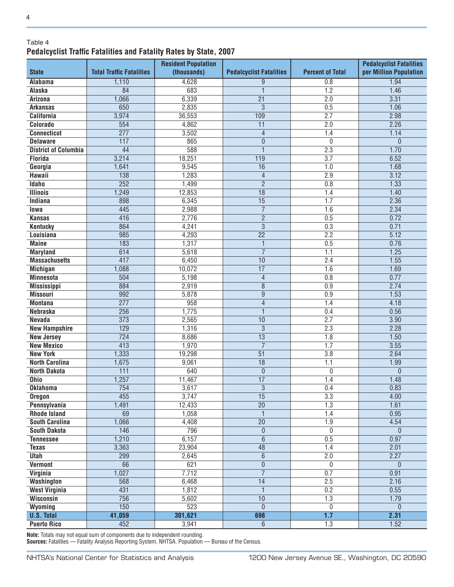### Table 4 **Pedalcyclist Traffic Fatalities and Fatality Rates by State, 2007**

|                                       | <b>Resident Population</b>      |              |                                           |                         | <b>Pedalcyclist Fatalities</b> |  |
|---------------------------------------|---------------------------------|--------------|-------------------------------------------|-------------------------|--------------------------------|--|
| <b>State</b>                          | <b>Total Traffic Fatalities</b> | (thousands)  | <b>Pedalcyclist Fatalities</b>            | <b>Percent of Total</b> | per Million Population         |  |
| <b>Alabama</b>                        | 1,110                           | 4,628        | $\overline{9}$                            | 0.8                     | 1.94                           |  |
| <b>Alaska</b>                         | 84                              | 683          | $\overline{1}$                            | 1.2                     | 1.46                           |  |
| <b>Arizona</b>                        | 1,066                           | 6,339        | $\overline{21}$                           | 2.0                     | 3.31                           |  |
| <b>Arkansas</b>                       | 650                             | 2,835        | $\overline{3}$                            | 0.5                     | 1.06                           |  |
| <b>California</b>                     | 3,974                           | 36,553       | 109                                       | 2.7                     | 2.98                           |  |
| Colorado                              | 554                             | 4,862        | $\overline{11}$                           | 2.0                     | 2.26                           |  |
| <b>Connecticut</b>                    | $\overline{277}$                | 3,502        | $\overline{4}$                            | 1.4                     | 1.14                           |  |
| <b>Delaware</b>                       | $\overline{117}$                | 865          | $\overline{0}$                            | $\mathbf 0$             | $\overline{0}$                 |  |
| <b>District of Columbia</b>           | 44                              | 588          | $\overline{1}$                            | 2.3                     | 1.70                           |  |
| <b>Florida</b>                        | 3,214                           | 18,251       | $\overline{119}$                          | $\overline{3.7}$        | 6.52                           |  |
| Georgia                               | 1,641                           | 9,545        | 16                                        | 1.0                     | 1.68                           |  |
| <b>Hawaii</b>                         | 138                             | 1,283        | $\overline{4}$                            | 2.9                     | 3.12                           |  |
| <b>Idaho</b>                          | $\overline{252}$                | 1,499        | $\overline{2}$                            | 0.8                     | 1.33                           |  |
| <b>Illinois</b>                       | 1,249                           | 12,853       | $\overline{18}$                           | 1.4                     | 1.40                           |  |
| <b>Indiana</b>                        | 898                             | 6,345        | $\overline{15}$                           | 1.7                     | 2.36                           |  |
| lowa                                  | 445                             | 2,988        | $\overline{7}$                            | 1.6                     | 2.34                           |  |
| <b>Kansas</b>                         | 416                             | 2,776        | $\overline{2}$                            | 0.5                     | 0.72                           |  |
| <b>Kentucky</b>                       | 864                             | 4,241        | $\overline{3}$                            | 0.3                     | 0.71                           |  |
| Louisiana                             | 985                             | 4,293        | $\overline{22}$                           | 2.2                     | 5.12                           |  |
| <b>Maine</b>                          | 183                             | 1,317        | $\overline{1}$                            | 0.5                     | 0.76                           |  |
| <b>Maryland</b>                       | 614                             | 5,618        | $\overline{7}$                            | $\overline{1.1}$        | 1.25                           |  |
| <b>Massachusetts</b>                  | 417                             | 6,450        | $\overline{10}$                           | 2.4                     | 1.55                           |  |
| <b>Michigan</b>                       | 1,088                           | 10,072       | $\overline{17}$                           | 1.6                     | 1.69                           |  |
| <b>Minnesota</b>                      | 504                             | 5,198        | $\overline{4}$                            | 0.8                     | 0.77                           |  |
| <b>Mississippi</b><br><b>Missouri</b> | 884<br>992                      | 2,919        | $\overline{8}$                            | 0.9                     | 2.74<br>1.53                   |  |
| <b>Montana</b>                        | $\overline{277}$                | 5,878<br>958 | $\overline{9}$                            | 0.9<br>1.4              | 4.18                           |  |
| <b>Nebraska</b>                       | 256                             | 1,775        | $\overline{4}$<br>$\overline{\mathbb{1}}$ | 0.4                     | 0.56                           |  |
| <b>Nevada</b>                         | 373                             | 2,565        | $\overline{10}$                           | 2.7                     | 3.90                           |  |
| <b>New Hampshire</b>                  | $\overline{129}$                | 1,316        | $\overline{3}$                            | 2.3                     | 2.28                           |  |
| <b>New Jersey</b>                     | 724                             | 8,686        | $\overline{13}$                           | 1.8                     | 1.50                           |  |
| <b>New Mexico</b>                     | $\overline{413}$                | 1,970        | $\overline{7}$                            | 1.7                     | 3.55                           |  |
| <b>New York</b>                       | 1,333                           | 19,298       | $\overline{51}$                           | $\overline{3.8}$        | 2.64                           |  |
| <b>North Carolina</b>                 | 1,675                           | 9,061        | $\overline{18}$                           | 1.1                     | 1.99                           |  |
| <b>North Dakota</b>                   | 111                             | 640          | $\mathbf 0$                               | $\mathbf{0}$            | $\overline{0}$                 |  |
| <b>Ohio</b>                           | 1,257                           | 11,467       | $\overline{17}$                           | 1.4                     | 1.48                           |  |
| <b>Oklahoma</b>                       | $\overline{754}$                | 3,617        | $\overline{3}$                            | 0.4                     | 0.83                           |  |
| <b>Oregon</b>                         | 455                             | 3,747        | 15                                        | 3.3                     | 4.00                           |  |
| Pennsylvania                          | 1,491                           | 12,433       | $\overline{20}$                           | $\overline{1.3}$        | 1.61                           |  |
| <b>Rhode Island</b>                   | 69                              | 1,058        | $\overline{1}$                            | 1.4                     | 0.95                           |  |
| <b>South Carolina</b>                 | 1,066                           | 4,408        | $\overline{20}$                           | 1.9                     | 4.54                           |  |
| <b>South Dakota</b>                   | 146                             | 796          | $\boldsymbol{0}$                          | $\overline{0}$          | $\mathbf{0}$                   |  |
| <b>Tennessee</b>                      | 1,210                           | 6,157        | $\overline{6}$                            | 0.5                     | 0.97                           |  |
| <b>Texas</b>                          | 3,363                           | 23,904       | $\overline{48}$                           | 1.4                     | 2.01                           |  |
| <b>Utah</b>                           | 299                             | 2,645        | $\overline{6}$                            | 2.0                     | 2.27                           |  |
| <b>Vermont</b>                        | 66                              | 621          | $\overline{0}$                            | $\mathbf{0}$            | $\mathbf{0}$                   |  |
| Virginia                              | 1,027                           | 7,712        | $\overline{7}$                            | 0.7                     | 0.91                           |  |
| <b>Washington</b>                     | 568                             | 6,468        | $\overline{14}$                           | 2.5                     | 2.16                           |  |
| <b>West Virginia</b>                  | 431                             | 1,812        | $\mathbf{1}$                              | 0.2                     | 0.55                           |  |
| <b>Wisconsin</b>                      | 756                             | 5,602        | 10                                        | 1.3                     | 1.79                           |  |
| Wyoming                               | 150                             | 523          | $\overline{0}$                            | 0                       | $\theta$                       |  |
| <b>U.S. Total</b>                     | 41,059                          | 301,621      | 698                                       | 1.7                     | 2.31                           |  |
| <b>Puerto Rico</b>                    | 452                             | 3,941        | $6\phantom{.}$                            | 1.3                     | 1.52                           |  |

**Note:** Totals may not equal sum of components due to independent rounding.<br>**Sources:** Fatalities — Fatality Analysis Reporting System, NHTSA. Population — Bureau of the Census.